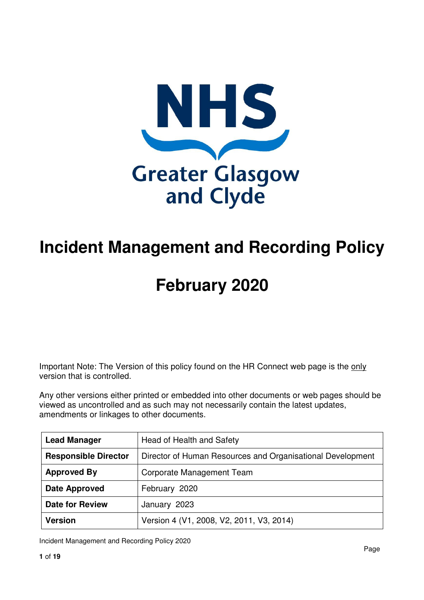

## **Incident Management and Recording Policy**

# **February 2020**

Important Note: The Version of this policy found on the HR Connect web page is the only version that is controlled.

Any other versions either printed or embedded into other documents or web pages should be viewed as uncontrolled and as such may not necessarily contain the latest updates, amendments or linkages to other documents.

| <b>Lead Manager</b>         | Head of Health and Safety                                  |
|-----------------------------|------------------------------------------------------------|
| <b>Responsible Director</b> | Director of Human Resources and Organisational Development |
| <b>Approved By</b>          | Corporate Management Team                                  |
| <b>Date Approved</b>        | February 2020                                              |
| <b>Date for Review</b>      | January 2023                                               |
| <b>Version</b>              | Version 4 (V1, 2008, V2, 2011, V3, 2014)                   |

Incident Management and Recording Policy 2020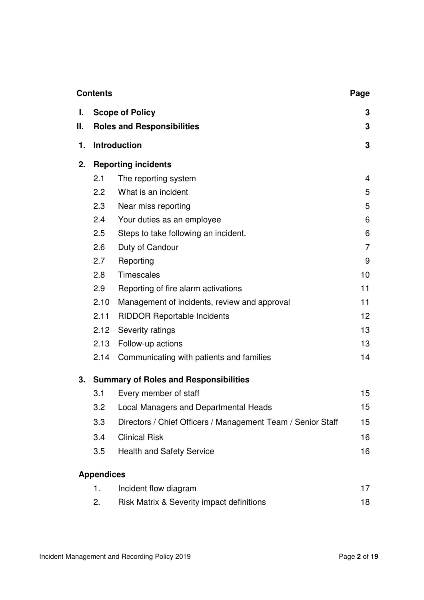|          | <b>Contents</b>   |                                                             | Page           |
|----------|-------------------|-------------------------------------------------------------|----------------|
| I.<br>Ш. |                   | <b>Scope of Policy</b>                                      | 3              |
|          |                   | <b>Roles and Responsibilities</b>                           | 3              |
| 1.       |                   | <b>Introduction</b>                                         | 3              |
| 2.       |                   | <b>Reporting incidents</b>                                  |                |
|          | 2.1               | The reporting system                                        | $\overline{4}$ |
|          | 2.2               | What is an incident                                         | 5              |
|          | 2.3               | Near miss reporting                                         | 5              |
|          | 2.4               | Your duties as an employee                                  | 6              |
|          | 2.5               | Steps to take following an incident.                        | 6              |
|          | 2.6               | Duty of Candour                                             | $\overline{7}$ |
|          | 2.7               | Reporting                                                   | 9              |
|          | 2.8               | <b>Timescales</b>                                           | 10             |
|          | 2.9               | Reporting of fire alarm activations                         | 11             |
|          | 2.10              | Management of incidents, review and approval                | 11             |
|          | 2.11              | <b>RIDDOR Reportable Incidents</b>                          | 12             |
|          | 2.12              | Severity ratings                                            | 13             |
|          | 2.13              | Follow-up actions                                           | 13             |
|          | 2.14              | Communicating with patients and families                    | 14             |
| 3.       |                   | <b>Summary of Roles and Responsibilities</b>                |                |
|          | 3.1               | Every member of staff                                       | 15             |
|          | 3.2               | <b>Local Managers and Departmental Heads</b>                | 15             |
|          | 3.3               | Directors / Chief Officers / Management Team / Senior Staff | 15             |
|          | 3.4               | <b>Clinical Risk</b>                                        | 16             |
|          | 3.5               | <b>Health and Safety Service</b>                            | 16             |
|          | <b>Appendices</b> |                                                             |                |
|          | 1.                | Incident flow diagram                                       | 17             |

| Risk Matrix & Severity impact definitions |  |
|-------------------------------------------|--|
|                                           |  |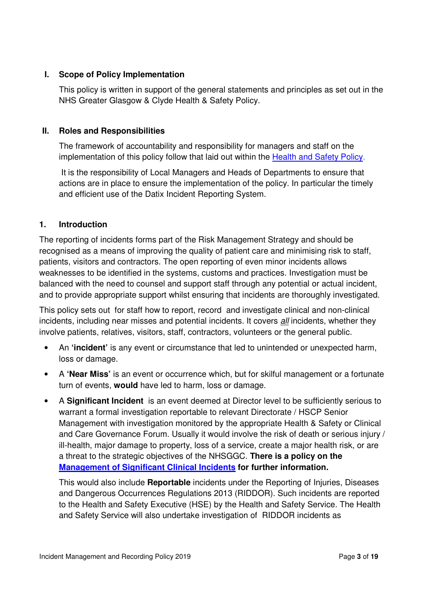#### **I. Scope of Policy Implementation**

This policy is written in support of the general statements and principles as set out in the NHS Greater Glasgow & Clyde Health & Safety Policy.

#### **II. Roles and Responsibilities**

The framework of accountability and responsibility for managers and staff on the implementation of this policy follow that laid out within the Health and Safety Policy.

 It is the responsibility of Local Managers and Heads of Departments to ensure that actions are in place to ensure the implementation of the policy. In particular the timely and efficient use of the Datix Incident Reporting System.

#### **1. Introduction**

The reporting of incidents forms part of the Risk Management Strategy and should be recognised as a means of improving the quality of patient care and minimising risk to staff, patients, visitors and contractors. The open reporting of even minor incidents allows weaknesses to be identified in the systems, customs and practices. Investigation must be balanced with the need to counsel and support staff through any potential or actual incident, and to provide appropriate support whilst ensuring that incidents are thoroughly investigated.

This policy sets out for staff how to report, record and investigate clinical and non-clinical incidents, including near misses and potential incidents. It covers all incidents, whether they involve patients, relatives, visitors, staff, contractors, volunteers or the general public.

- An **'incident'** is any event or circumstance that led to unintended or unexpected harm, loss or damage.
- A **'Near Miss'** is an event or occurrence which, but for skilful management or a fortunate turn of events, **would** have led to harm, loss or damage.
- A **Significant Incident** is an event deemed at Director level to be sufficiently serious to warrant a formal investigation reportable to relevant Directorate / HSCP Senior Management with investigation monitored by the appropriate Health & Safety or Clinical and Care Governance Forum. Usually it would involve the risk of death or serious injury / ill-health, major damage to property, loss of a service, create a major health risk, or are a threat to the strategic objectives of the NHSGGC. **There is a policy on the Management of Significant Clinical Incidents for further information.**

This would also include **Reportable** incidents under the Reporting of Injuries, Diseases and Dangerous Occurrences Regulations 2013 (RIDDOR). Such incidents are reported to the Health and Safety Executive (HSE) by the Health and Safety Service. The Health and Safety Service will also undertake investigation of RIDDOR incidents as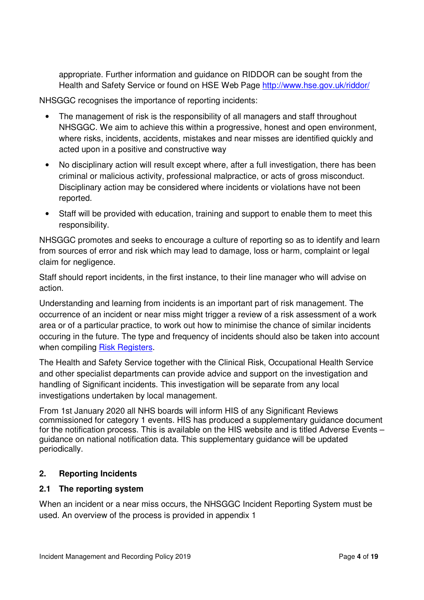appropriate. Further information and guidance on RIDDOR can be sought from the Health and Safety Service or found on HSE Web Page http://www.hse.gov.uk/riddor/

NHSGGC recognises the importance of reporting incidents:

- The management of risk is the responsibility of all managers and staff throughout NHSGGC. We aim to achieve this within a progressive, honest and open environment, where risks, incidents, accidents, mistakes and near misses are identified quickly and acted upon in a positive and constructive way
- No disciplinary action will result except where, after a full investigation, there has been criminal or malicious activity, professional malpractice, or acts of gross misconduct. Disciplinary action may be considered where incidents or violations have not been reported.
- Staff will be provided with education, training and support to enable them to meet this responsibility.

NHSGGC promotes and seeks to encourage a culture of reporting so as to identify and learn from sources of error and risk which may lead to damage, loss or harm, complaint or legal claim for negligence.

Staff should report incidents, in the first instance, to their line manager who will advise on action.

Understanding and learning from incidents is an important part of risk management. The occurrence of an incident or near miss might trigger a review of a risk assessment of a work area or of a particular practice, to work out how to minimise the chance of similar incidents occuring in the future. The type and frequency of incidents should also be taken into account when compiling Risk Registers.

The Health and Safety Service together with the Clinical Risk, Occupational Health Service and other specialist departments can provide advice and support on the investigation and handling of Significant incidents. This investigation will be separate from any local investigations undertaken by local management.

From 1st January 2020 all NHS boards will inform HIS of any Significant Reviews commissioned for category 1 events. HIS has produced a supplementary guidance document for the notification process. This is available on the HIS website and is titled Adverse Events – guidance on national notification data. This supplementary guidance will be updated periodically.

#### **2. Reporting Incidents**

#### **2.1 The reporting system**

When an incident or a near miss occurs, the NHSGGC Incident Reporting System must be used. An overview of the process is provided in appendix 1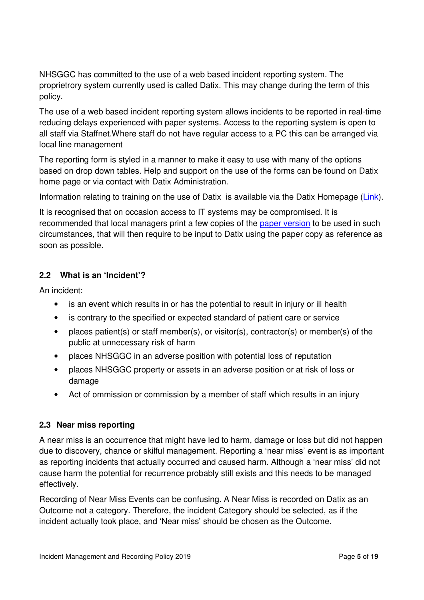NHSGGC has committed to the use of a web based incident reporting system. The proprietrory system currently used is called Datix. This may change during the term of this policy.

The use of a web based incident reporting system allows incidents to be reported in real-time reducing delays experienced with paper systems. Access to the reporting system is open to all staff via Staffnet.Where staff do not have regular access to a PC this can be arranged via local line management

The reporting form is styled in a manner to make it easy to use with many of the options based on drop down tables. Help and support on the use of the forms can be found on Datix home page or via contact with Datix Administration.

Information relating to training on the use of Datix is available via the Datix Homepage (Link).

It is recognised that on occasion access to IT systems may be compromised. It is recommended that local managers print a few copies of the paper version to be used in such circumstances, that will then require to be input to Datix using the paper copy as reference as soon as possible.

#### **2.2 What is an 'Incident'?**

An incident:

- is an event which results in or has the potential to result in injury or ill health
- is contrary to the specified or expected standard of patient care or service
- places patient(s) or staff member(s), or visitor(s), contractor(s) or member(s) of the public at unnecessary risk of harm
- places NHSGGC in an adverse position with potential loss of reputation
- places NHSGGC property or assets in an adverse position or at risk of loss or damage
- Act of ommission or commission by a member of staff which results in an injury

#### **2.3 Near miss reporting**

A near miss is an occurrence that might have led to harm, damage or loss but did not happen due to discovery, chance or skilful management. Reporting a 'near miss' event is as important as reporting incidents that actually occurred and caused harm. Although a 'near miss' did not cause harm the potential for recurrence probably still exists and this needs to be managed effectively.

Recording of Near Miss Events can be confusing. A Near Miss is recorded on Datix as an Outcome not a category. Therefore, the incident Category should be selected, as if the incident actually took place, and 'Near miss' should be chosen as the Outcome.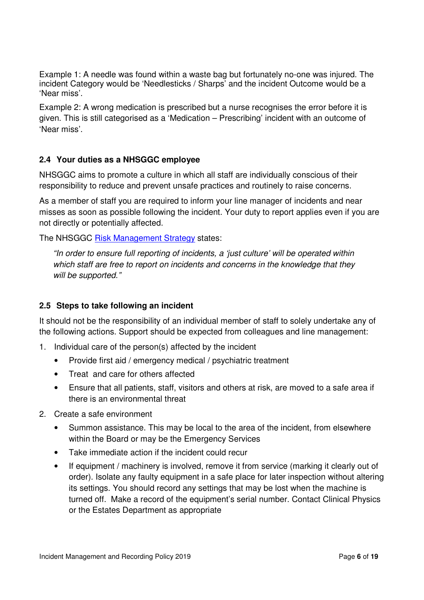Example 1: A needle was found within a waste bag but fortunately no-one was injured. The incident Category would be 'Needlesticks / Sharps' and the incident Outcome would be a 'Near miss'.

Example 2: A wrong medication is prescribed but a nurse recognises the error before it is given. This is still categorised as a 'Medication – Prescribing' incident with an outcome of 'Near miss'.

#### **2.4 Your duties as a NHSGGC employee**

NHSGGC aims to promote a culture in which all staff are individually conscious of their responsibility to reduce and prevent unsafe practices and routinely to raise concerns.

As a member of staff you are required to inform your line manager of incidents and near misses as soon as possible following the incident. Your duty to report applies even if you are not directly or potentially affected.

The NHSGGC Risk Management Strategy states:

"In order to ensure full reporting of incidents, a 'just culture' will be operated within which staff are free to report on incidents and concerns in the knowledge that they will be supported."

#### **2.5 Steps to take following an incident**

It should not be the responsibility of an individual member of staff to solely undertake any of the following actions. Support should be expected from colleagues and line management:

- 1. Individual care of the person(s) affected by the incident
	- Provide first aid / emergency medical / psychiatric treatment
	- Treat and care for others affected
	- Ensure that all patients, staff, visitors and others at risk, are moved to a safe area if there is an environmental threat
- 2. Create a safe environment
	- Summon assistance. This may be local to the area of the incident, from elsewhere within the Board or may be the Emergency Services
	- Take immediate action if the incident could recur
	- If equipment / machinery is involved, remove it from service (marking it clearly out of order). Isolate any faulty equipment in a safe place for later inspection without altering its settings. You should record any settings that may be lost when the machine is turned off. Make a record of the equipment's serial number. Contact Clinical Physics or the Estates Department as appropriate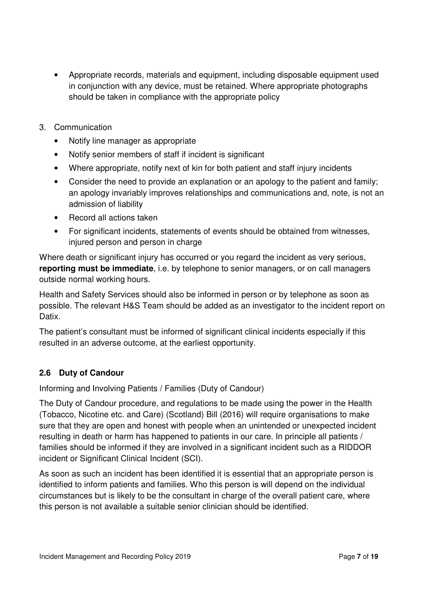- Appropriate records, materials and equipment, including disposable equipment used in conjunction with any device, must be retained. Where appropriate photographs should be taken in compliance with the appropriate policy
- 3. Communication
	- Notify line manager as appropriate
	- Notify senior members of staff if incident is significant
	- Where appropriate, notify next of kin for both patient and staff injury incidents
	- Consider the need to provide an explanation or an apology to the patient and family; an apology invariably improves relationships and communications and, note, is not an admission of liability
	- Record all actions taken
	- For significant incidents, statements of events should be obtained from witnesses, injured person and person in charge

Where death or significant injury has occurred or you regard the incident as very serious, **reporting must be immediate**, i.e. by telephone to senior managers, or on call managers outside normal working hours.

Health and Safety Services should also be informed in person or by telephone as soon as possible. The relevant H&S Team should be added as an investigator to the incident report on Datix.

The patient's consultant must be informed of significant clinical incidents especially if this resulted in an adverse outcome, at the earliest opportunity.

#### **2.6 Duty of Candour**

Informing and Involving Patients / Families (Duty of Candour)

The Duty of Candour procedure, and regulations to be made using the power in the Health (Tobacco, Nicotine etc. and Care) (Scotland) Bill (2016) will require organisations to make sure that they are open and honest with people when an unintended or unexpected incident resulting in death or harm has happened to patients in our care. In principle all patients / families should be informed if they are involved in a significant incident such as a RIDDOR incident or Significant Clinical Incident (SCI).

As soon as such an incident has been identified it is essential that an appropriate person is identified to inform patients and families. Who this person is will depend on the individual circumstances but is likely to be the consultant in charge of the overall patient care, where this person is not available a suitable senior clinician should be identified.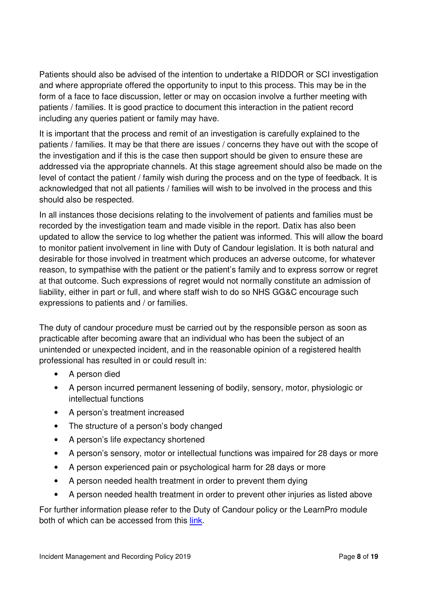Patients should also be advised of the intention to undertake a RIDDOR or SCI investigation and where appropriate offered the opportunity to input to this process. This may be in the form of a face to face discussion, letter or may on occasion involve a further meeting with patients / families. It is good practice to document this interaction in the patient record including any queries patient or family may have.

It is important that the process and remit of an investigation is carefully explained to the patients / families. It may be that there are issues / concerns they have out with the scope of the investigation and if this is the case then support should be given to ensure these are addressed via the appropriate channels. At this stage agreement should also be made on the level of contact the patient / family wish during the process and on the type of feedback. It is acknowledged that not all patients / families will wish to be involved in the process and this should also be respected.

In all instances those decisions relating to the involvement of patients and families must be recorded by the investigation team and made visible in the report. Datix has also been updated to allow the service to log whether the patient was informed. This will allow the board to monitor patient involvement in line with Duty of Candour legislation. It is both natural and desirable for those involved in treatment which produces an adverse outcome, for whatever reason, to sympathise with the patient or the patient's family and to express sorrow or regret at that outcome. Such expressions of regret would not normally constitute an admission of liability, either in part or full, and where staff wish to do so NHS GG&C encourage such expressions to patients and / or families.

The duty of candour procedure must be carried out by the responsible person as soon as practicable after becoming aware that an individual who has been the subject of an unintended or unexpected incident, and in the reasonable opinion of a registered health professional has resulted in or could result in:

- A person died
- A person incurred permanent lessening of bodily, sensory, motor, physiologic or intellectual functions
- A person's treatment increased
- The structure of a person's body changed
- A person's life expectancy shortened
- A person's sensory, motor or intellectual functions was impaired for 28 days or more
- A person experienced pain or psychological harm for 28 days or more
- A person needed health treatment in order to prevent them dying
- A person needed health treatment in order to prevent other injuries as listed above

For further information please refer to the Duty of Candour policy or the LearnPro module both of which can be accessed from this link.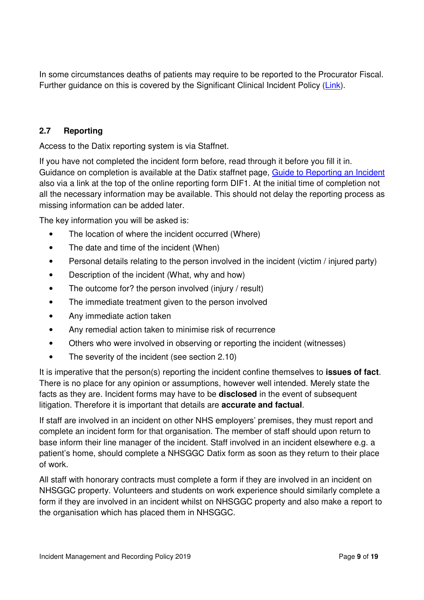In some circumstances deaths of patients may require to be reported to the Procurator Fiscal. Further guidance on this is covered by the Significant Clinical Incident Policy (Link).

#### **2.7 Reporting**

Access to the Datix reporting system is via Staffnet.

If you have not completed the incident form before, read through it before you fill it in. Guidance on completion is available at the Datix staffnet page, Guide to Reporting an Incident also via a link at the top of the online reporting form DIF1. At the initial time of completion not all the necessary information may be available. This should not delay the reporting process as missing information can be added later.

The key information you will be asked is:

- The location of where the incident occurred (Where)
- The date and time of the incident (When)
- Personal details relating to the person involved in the incident (victim / injured party)
- Description of the incident (What, why and how)
- The outcome for? the person involved (injury / result)
- The immediate treatment given to the person involved
- Any immediate action taken
- Any remedial action taken to minimise risk of recurrence
- Others who were involved in observing or reporting the incident (witnesses)
- The severity of the incident (see section 2.10)

It is imperative that the person(s) reporting the incident confine themselves to **issues of fact**. There is no place for any opinion or assumptions, however well intended. Merely state the facts as they are. Incident forms may have to be **disclosed** in the event of subsequent litigation. Therefore it is important that details are **accurate and factual**.

If staff are involved in an incident on other NHS employers' premises, they must report and complete an incident form for that organisation. The member of staff should upon return to base inform their line manager of the incident. Staff involved in an incident elsewhere e.g. a patient's home, should complete a NHSGGC Datix form as soon as they return to their place of work.

All staff with honorary contracts must complete a form if they are involved in an incident on NHSGGC property. Volunteers and students on work experience should similarly complete a form if they are involved in an incident whilst on NHSGGC property and also make a report to the organisation which has placed them in NHSGGC.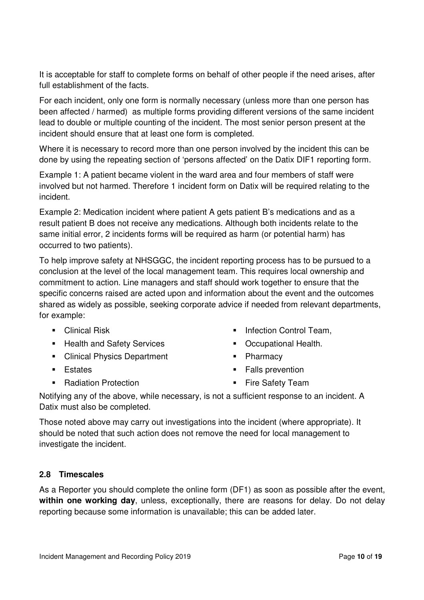It is acceptable for staff to complete forms on behalf of other people if the need arises, after full establishment of the facts.

For each incident, only one form is normally necessary (unless more than one person has been affected / harmed) as multiple forms providing different versions of the same incident lead to double or multiple counting of the incident. The most senior person present at the incident should ensure that at least one form is completed.

Where it is necessary to record more than one person involved by the incident this can be done by using the repeating section of 'persons affected' on the Datix DIF1 reporting form.

Example 1: A patient became violent in the ward area and four members of staff were involved but not harmed. Therefore 1 incident form on Datix will be required relating to the incident.

Example 2: Medication incident where patient A gets patient B's medications and as a result patient B does not receive any medications. Although both incidents relate to the same initial error, 2 incidents forms will be required as harm (or potential harm) has occurred to two patients).

To help improve safety at NHSGGC, the incident reporting process has to be pursued to a conclusion at the level of the local management team. This requires local ownership and commitment to action. Line managers and staff should work together to ensure that the specific concerns raised are acted upon and information about the event and the outcomes shared as widely as possible, seeking corporate advice if needed from relevant departments, for example:

- **-** Clinical Risk
- **Health and Safety Services**
- **Clinical Physics Department**
- **Estates**
- Radiation Protection
- **Infection Control Team,**
- **•** Occupational Health.
- Pharmacy
- **Falls prevention**

**Fire Safety Team** 

Notifying any of the above, while necessary, is not a sufficient response to an incident. A Datix must also be completed.

Those noted above may carry out investigations into the incident (where appropriate). It should be noted that such action does not remove the need for local management to investigate the incident.

#### **2.8 Timescales**

As a Reporter you should complete the online form (DF1) as soon as possible after the event, **within one working day**, unless, exceptionally, there are reasons for delay. Do not delay reporting because some information is unavailable; this can be added later.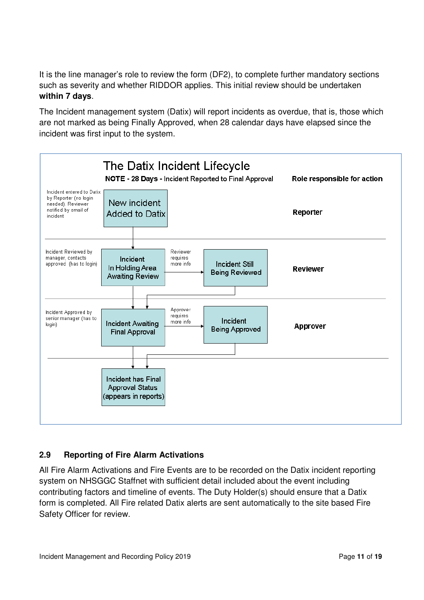It is the line manager's role to review the form (DF2), to complete further mandatory sections such as severity and whether RIDDOR applies. This initial review should be undertaken **within 7 days**.

The Incident management system (Datix) will report incidents as overdue, that is, those which are not marked as being Finally Approved, when 28 calendar days have elapsed since the incident was first input to the system.



#### **2.9 Reporting of Fire Alarm Activations**

All Fire Alarm Activations and Fire Events are to be recorded on the Datix incident reporting system on NHSGGC Staffnet with sufficient detail included about the event including contributing factors and timeline of events. The Duty Holder(s) should ensure that a Datix form is completed. All Fire related Datix alerts are sent automatically to the site based Fire Safety Officer for review.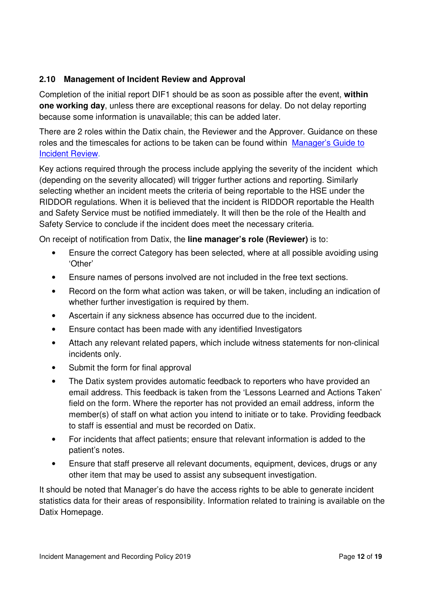#### **2.10 Management of Incident Review and Approval**

Completion of the initial report DIF1 should be as soon as possible after the event, **within one working day**, unless there are exceptional reasons for delay. Do not delay reporting because some information is unavailable; this can be added later.

There are 2 roles within the Datix chain, the Reviewer and the Approver. Guidance on these roles and the timescales for actions to be taken can be found within Manager's Guide to Incident Review.

Key actions required through the process include applying the severity of the incident which (depending on the severity allocated) will trigger further actions and reporting. Similarly selecting whether an incident meets the criteria of being reportable to the HSE under the RIDDOR regulations. When it is believed that the incident is RIDDOR reportable the Health and Safety Service must be notified immediately. It will then be the role of the Health and Safety Service to conclude if the incident does meet the necessary criteria.

On receipt of notification from Datix, the **line manager's role (Reviewer)** is to:

- Ensure the correct Category has been selected, where at all possible avoiding using 'Other'
- Ensure names of persons involved are not included in the free text sections.
- Record on the form what action was taken, or will be taken, including an indication of whether further investigation is required by them.
- Ascertain if any sickness absence has occurred due to the incident.
- Ensure contact has been made with any identified Investigators
- Attach any relevant related papers, which include witness statements for non-clinical incidents only.
- Submit the form for final approval
- The Datix system provides automatic feedback to reporters who have provided an email address. This feedback is taken from the 'Lessons Learned and Actions Taken' field on the form. Where the reporter has not provided an email address, inform the member(s) of staff on what action you intend to initiate or to take. Providing feedback to staff is essential and must be recorded on Datix.
- For incidents that affect patients; ensure that relevant information is added to the patient's notes.
- Ensure that staff preserve all relevant documents, equipment, devices, drugs or any other item that may be used to assist any subsequent investigation.

It should be noted that Manager's do have the access rights to be able to generate incident statistics data for their areas of responsibility. Information related to training is available on the Datix Homepage.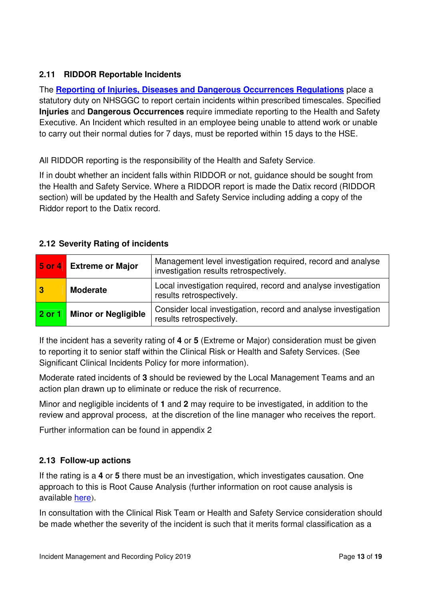#### **2.11 RIDDOR Reportable Incidents**

The **Reporting of Injuries, Diseases and Dangerous Occurrences Regulations** place a statutory duty on NHSGGC to report certain incidents within prescribed timescales. Specified **Injuries** and **Dangerous Occurrences** require immediate reporting to the Health and Safety Executive. An Incident which resulted in an employee being unable to attend work or unable to carry out their normal duties for 7 days, must be reported within 15 days to the HSE.

All RIDDOR reporting is the responsibility of the Health and Safety Service.

If in doubt whether an incident falls within RIDDOR or not, guidance should be sought from the Health and Safety Service. Where a RIDDOR report is made the Datix record (RIDDOR section) will be updated by the Health and Safety Service including adding a copy of the Riddor report to the Datix record.

|  |  |  |  | 2.12 Severity Rating of incidents |
|--|--|--|--|-----------------------------------|
|--|--|--|--|-----------------------------------|

| $5$ or 4       | <b>Extreme or Major</b> | Management level investigation required, record and analyse<br>investigation results retrospectively. |
|----------------|-------------------------|-------------------------------------------------------------------------------------------------------|
| $\overline{3}$ | <b>Moderate</b>         | Local investigation required, record and analyse investigation<br>results retrospectively.            |
| 2 or 1         | Minor or Negligible     | Consider local investigation, record and analyse investigation<br>results retrospectively.            |

If the incident has a severity rating of **4** or **5** (Extreme or Major) consideration must be given to reporting it to senior staff within the Clinical Risk or Health and Safety Services. (See Significant Clinical Incidents Policy for more information).

Moderate rated incidents of **3** should be reviewed by the Local Management Teams and an action plan drawn up to eliminate or reduce the risk of recurrence.

Minor and negligible incidents of **1** and **2** may require to be investigated, in addition to the review and approval process, at the discretion of the line manager who receives the report.

Further information can be found in appendix 2

#### **2.13 Follow-up actions**

If the rating is a **4** or **5** there must be an investigation, which investigates causation. One approach to this is Root Cause Analysis (further information on root cause analysis is available here).

In consultation with the Clinical Risk Team or Health and Safety Service consideration should be made whether the severity of the incident is such that it merits formal classification as a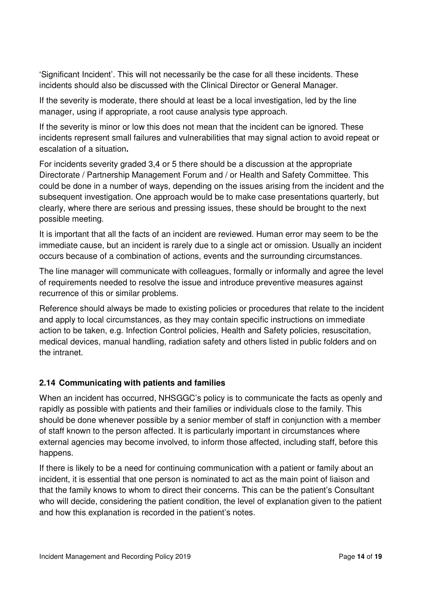'Significant Incident'. This will not necessarily be the case for all these incidents. These incidents should also be discussed with the Clinical Director or General Manager.

If the severity is moderate, there should at least be a local investigation, led by the line manager, using if appropriate, a root cause analysis type approach.

If the severity is minor or low this does not mean that the incident can be ignored. These incidents represent small failures and vulnerabilities that may signal action to avoid repeat or escalation of a situation**.** 

For incidents severity graded 3,4 or 5 there should be a discussion at the appropriate Directorate / Partnership Management Forum and / or Health and Safety Committee. This could be done in a number of ways, depending on the issues arising from the incident and the subsequent investigation. One approach would be to make case presentations quarterly, but clearly, where there are serious and pressing issues, these should be brought to the next possible meeting.

It is important that all the facts of an incident are reviewed. Human error may seem to be the immediate cause, but an incident is rarely due to a single act or omission. Usually an incident occurs because of a combination of actions, events and the surrounding circumstances.

The line manager will communicate with colleagues, formally or informally and agree the level of requirements needed to resolve the issue and introduce preventive measures against recurrence of this or similar problems.

Reference should always be made to existing policies or procedures that relate to the incident and apply to local circumstances, as they may contain specific instructions on immediate action to be taken, e.g. Infection Control policies, Health and Safety policies, resuscitation, medical devices, manual handling, radiation safety and others listed in public folders and on the intranet.

#### **2.14 Communicating with patients and families**

When an incident has occurred, NHSGGC's policy is to communicate the facts as openly and rapidly as possible with patients and their families or individuals close to the family. This should be done whenever possible by a senior member of staff in conjunction with a member of staff known to the person affected. It is particularly important in circumstances where external agencies may become involved, to inform those affected, including staff, before this happens.

If there is likely to be a need for continuing communication with a patient or family about an incident, it is essential that one person is nominated to act as the main point of liaison and that the family knows to whom to direct their concerns. This can be the patient's Consultant who will decide, considering the patient condition, the level of explanation given to the patient and how this explanation is recorded in the patient's notes.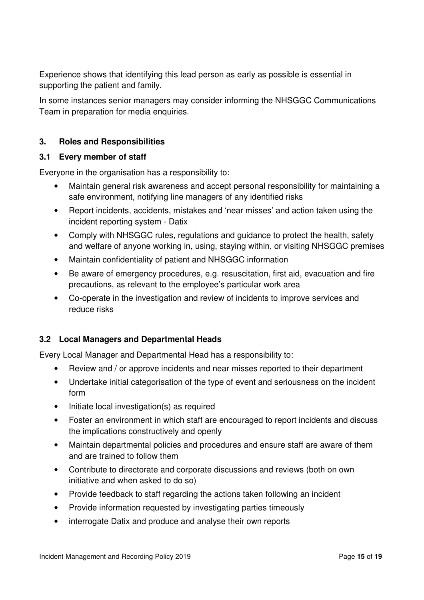Experience shows that identifying this lead person as early as possible is essential in supporting the patient and family.

In some instances senior managers may consider informing the NHSGGC Communications Team in preparation for media enquiries.

#### **3. Roles and Responsibilities**

#### **3.1 Every member of staff**

Everyone in the organisation has a responsibility to:

- Maintain general risk awareness and accept personal responsibility for maintaining a safe environment, notifying line managers of any identified risks
- Report incidents, accidents, mistakes and 'near misses' and action taken using the incident reporting system - Datix
- Comply with NHSGGC rules, regulations and guidance to protect the health, safety and welfare of anyone working in, using, staying within, or visiting NHSGGC premises
- Maintain confidentiality of patient and NHSGGC information
- Be aware of emergency procedures, e.g. resuscitation, first aid, evacuation and fire precautions, as relevant to the employee's particular work area
- Co-operate in the investigation and review of incidents to improve services and reduce risks

#### **3.2 Local Managers and Departmental Heads**

Every Local Manager and Departmental Head has a responsibility to:

- Review and / or approve incidents and near misses reported to their department
- Undertake initial categorisation of the type of event and seriousness on the incident form
- Initiate local investigation(s) as required
- Foster an environment in which staff are encouraged to report incidents and discuss the implications constructively and openly
- Maintain departmental policies and procedures and ensure staff are aware of them and are trained to follow them
- Contribute to directorate and corporate discussions and reviews (both on own initiative and when asked to do so)
- Provide feedback to staff regarding the actions taken following an incident
- Provide information requested by investigating parties timeously
- interrogate Datix and produce and analyse their own reports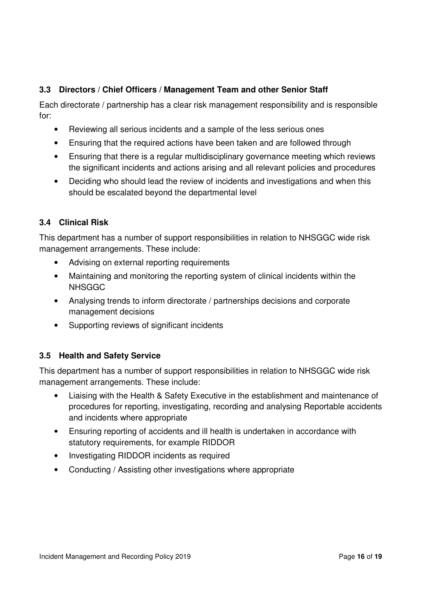#### **3.3 Directors / Chief Officers / Management Team and other Senior Staff**

Each directorate / partnership has a clear risk management responsibility and is responsible for:

- Reviewing all serious incidents and a sample of the less serious ones
- Ensuring that the required actions have been taken and are followed through
- Ensuring that there is a regular multidisciplinary governance meeting which reviews the significant incidents and actions arising and all relevant policies and procedures
- Deciding who should lead the review of incidents and investigations and when this should be escalated beyond the departmental level

#### **3.4 Clinical Risk**

This department has a number of support responsibilities in relation to NHSGGC wide risk management arrangements. These include:

- Advising on external reporting requirements
- Maintaining and monitoring the reporting system of clinical incidents within the NHSGGC
- Analysing trends to inform directorate / partnerships decisions and corporate management decisions
- Supporting reviews of significant incidents

#### **3.5 Health and Safety Service**

This department has a number of support responsibilities in relation to NHSGGC wide risk management arrangements. These include:

- Liaising with the Health & Safety Executive in the establishment and maintenance of procedures for reporting, investigating, recording and analysing Reportable accidents and incidents where appropriate
- Ensuring reporting of accidents and ill health is undertaken in accordance with statutory requirements, for example RIDDOR
- Investigating RIDDOR incidents as required
- Conducting / Assisting other investigations where appropriate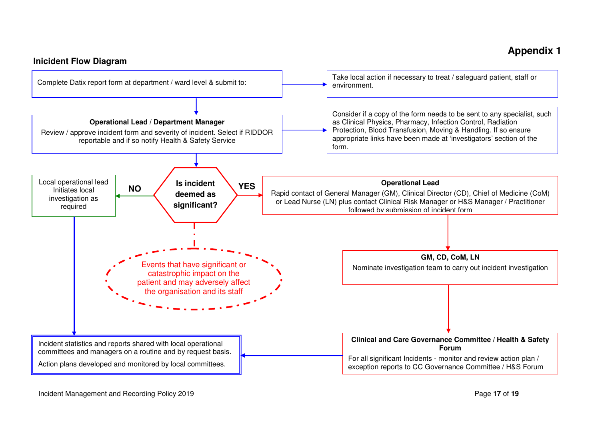### **Appendix 1**

#### **Inicident Flow Diagram**

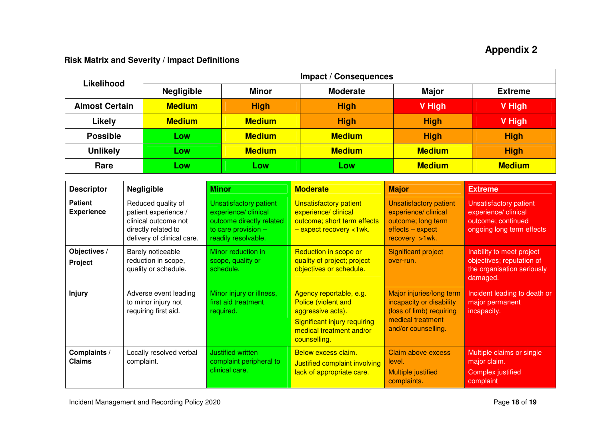## **Appendix 2**

#### **Risk Matrix and Severity / Impact Definitions**

| <b>Likelihood</b>     | <b>Impact / Consequences</b> |               |                 |               |                |
|-----------------------|------------------------------|---------------|-----------------|---------------|----------------|
|                       | <b>Negligible</b>            | <b>Minor</b>  | <b>Moderate</b> | <b>Major</b>  | <b>Extreme</b> |
| <b>Almost Certain</b> | <b>Medium</b>                | <b>High</b>   | <b>High</b>     | V High        | V High         |
| Likely                | <b>Medium</b>                | <b>Medium</b> | <b>High</b>     | <b>High</b>   | V High         |
| <b>Possible</b>       | Low                          | <b>Medium</b> | <b>Medium</b>   | <b>High</b>   | <b>High</b>    |
| <b>Unlikely</b>       | Low                          | <b>Medium</b> | <b>Medium</b>   | <b>Medium</b> | <b>High</b>    |
| Rare                  | LOW                          | LOW           | Low             | <b>Medium</b> | <b>Medium</b>  |

| <b>Descriptor</b>                   | <b>Negligible</b>                                                                                                       | <b>Minor</b>                                                                                                                      | <b>Moderate</b>                                                                                                                                        | <b>Major</b>                                                                                                                 | <b>Extreme</b>                                                                                           |
|-------------------------------------|-------------------------------------------------------------------------------------------------------------------------|-----------------------------------------------------------------------------------------------------------------------------------|--------------------------------------------------------------------------------------------------------------------------------------------------------|------------------------------------------------------------------------------------------------------------------------------|----------------------------------------------------------------------------------------------------------|
| <b>Patient</b><br><b>Experience</b> | Reduced quality of<br>patient experience /<br>clinical outcome not<br>directly related to<br>delivery of clinical care. | <b>Unsatisfactory patient</b><br>experience/ clinical<br>outcome directly related<br>to care provision $-$<br>readily resolvable. | <b>Unsatisfactory patient</b><br>experience/ clinical<br>outcome; short term effects<br>- expect recovery <1wk.                                        | <b>Unsatisfactory patient</b><br>experience/ clinical<br>outcome; long term<br>effects - expect<br>recovery $>1$ wk.         | <b>Unsatisfactory patient</b><br>experience/ clinical<br>outcome; continued<br>ongoing long term effects |
| Objectives /<br>Project             | Barely noticeable<br>reduction in scope,<br>quality or schedule.                                                        | Minor reduction in<br>scope, quality or<br>schedule.                                                                              | Reduction in scope or<br>quality of project; project<br>objectives or schedule.                                                                        | <b>Significant project</b><br>over-run.                                                                                      | Inability to meet project<br>objectives; reputation of<br>the organisation seriously<br>damaged.         |
| <b>Injury</b>                       | Adverse event leading<br>to minor injury not<br>requiring first aid.                                                    | Minor injury or illness,<br>first aid treatment<br>required.                                                                      | Agency reportable, e.g.<br><b>Police (violent and</b><br>aggressive acts).<br>Significant injury requiring<br>medical treatment and/or<br>counselling. | Major injuries/long term<br>incapacity or disability<br>(loss of limb) requiring<br>medical treatment<br>and/or counselling. | Incident leading to death or<br>major permanent<br>incapacity.                                           |
| Complaints /<br><b>Claims</b>       | Locally resolved verbal<br>complaint.                                                                                   | Justified written<br>complaint peripheral to<br>clinical care.                                                                    | Below excess claim.<br>Justified complaint involving<br>lack of appropriate care.                                                                      | Claim above excess<br>level.<br><b>Multiple justified</b><br>complaints.                                                     | Multiple claims or single<br>major claim.<br><b>Complex justified</b><br>complaint                       |